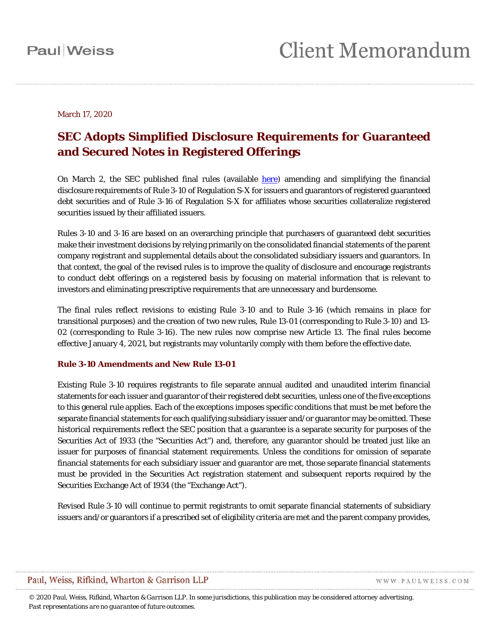### March 17, 2020

### **SEC Adopts Simplified Disclosure Requirements for Guaranteed and Secured Notes in Registered Offerings**

On March 2, the SEC published final rules (available [here\)](https://www.sec.gov/rules/final/2020/33-10762.pdf) amending and simplifying the financial disclosure requirements of Rule 3-10 of Regulation S-X for issuers and guarantors of registered guaranteed debt securities and of Rule 3-16 of Regulation S-X for affiliates whose securities collateralize registered securities issued by their affiliated issuers.

Rules 3-10 and 3-16 are based on an overarching principle that purchasers of guaranteed debt securities make their investment decisions by relying primarily on the consolidated financial statements of the parent company registrant and supplemental details about the consolidated subsidiary issuers and guarantors. In that context, the goal of the revised rules is to improve the quality of disclosure and encourage registrants to conduct debt offerings on a registered basis by focusing on material information that is relevant to investors and eliminating prescriptive requirements that are unnecessary and burdensome.

The final rules reflect revisions to existing Rule 3-10 and to Rule 3-16 (which remains in place for transitional purposes) and the creation of two new rules, Rule 13-01 (corresponding to Rule 3-10) and 13- 02 (corresponding to Rule 3-16). The new rules now comprise new Article 13. The final rules become effective January 4, 2021, but registrants may voluntarily comply with them before the effective date.

### **Rule 3-10 Amendments and New Rule 13-01**

Existing Rule 3-10 requires registrants to file separate annual audited and unaudited interim financial statements for each issuer and guarantor of their registered debt securities, unless one of the five exceptions to this general rule applies. Each of the exceptions imposes specific conditions that must be met before the separate financial statements for each qualifying subsidiary issuer and/or guarantor may be omitted. These historical requirements reflect the SEC position that a guarantee is a separate security for purposes of the Securities Act of 1933 (the "Securities Act") and, therefore, any guarantor should be treated just like an issuer for purposes of financial statement requirements. Unless the conditions for omission of separate financial statements for each subsidiary issuer and guarantor are met, those separate financial statements must be provided in the Securities Act registration statement and subsequent reports required by the Securities Exchange Act of 1934 (the "Exchange Act").

Revised Rule 3-10 will continue to permit registrants to omit separate financial statements of subsidiary issuers and/or guarantors if a prescribed set of eligibility criteria are met and the parent company provides,

### Paul, Weiss, Rifkind, Wharton & Garrison LLP

WWW.PAULWEISS.COM

*© 2020 Paul, Weiss, Rifkind, Wharton & Garrison LLP. In some jurisdictions, this publication may be considered attorney advertising. Past representations are no guarantee of future outcomes.*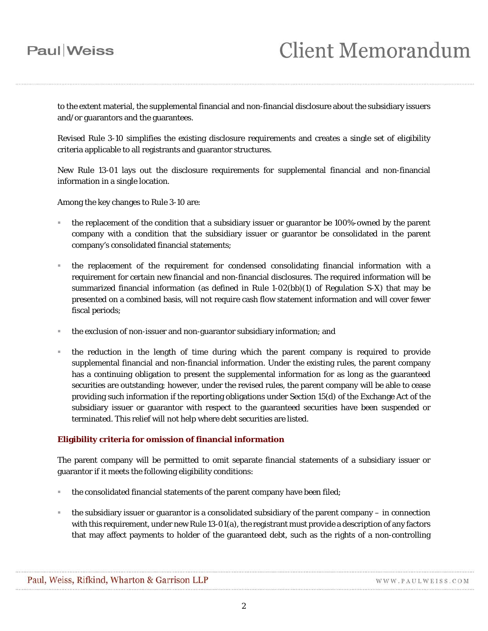to the extent material, the supplemental financial and non-financial disclosure about the subsidiary issuers and/or guarantors and the guarantees.

Revised Rule 3-10 simplifies the existing disclosure requirements and creates a single set of eligibility criteria applicable to all registrants and guarantor structures.

New Rule 13-01 lays out the disclosure requirements for supplemental financial and non-financial information in a single location.

Among the key changes to Rule 3-10 are:

- the replacement of the condition that a subsidiary issuer or guarantor be 100%-owned by the parent company with a condition that the subsidiary issuer or guarantor be consolidated in the parent company's consolidated financial statements;
- the replacement of the requirement for condensed consolidating financial information with a requirement for certain new financial and non-financial disclosures. The required information will be summarized financial information (as defined in Rule 1-02(bb)(1) of Regulation S-X) that may be presented on a combined basis, will not require cash flow statement information and will cover fewer fiscal periods;
- the exclusion of non-issuer and non-guarantor subsidiary information; and
- the reduction in the length of time during which the parent company is required to provide supplemental financial and non-financial information. Under the existing rules, the parent company has a continuing obligation to present the supplemental information for as long as the guaranteed securities are outstanding; however, under the revised rules, the parent company will be able to cease providing such information if the reporting obligations under Section 15(d) of the Exchange Act of the subsidiary issuer or guarantor with respect to the guaranteed securities have been suspended or terminated. This relief will not help where debt securities are listed.

### **Eligibility criteria for omission of financial information**

The parent company will be permitted to omit separate financial statements of a subsidiary issuer or guarantor if it meets the following eligibility conditions:

- the consolidated financial statements of the parent company have been filed;
- the subsidiary issuer or guarantor is a consolidated subsidiary of the parent company in connection with this requirement, under new Rule 13-01(a), the registrant must provide a description of any factors that may affect payments to holder of the guaranteed debt, such as the rights of a non-controlling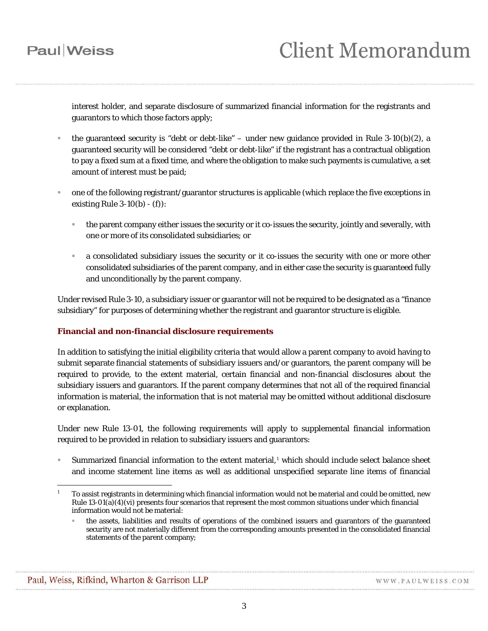interest holder, and separate disclosure of summarized financial information for the registrants and guarantors to which those factors apply;

- the guaranteed security is "debt or debt-like" under new guidance provided in Rule 3-10(b)(2), a guaranteed security will be considered "debt or debt-like" if the registrant has a contractual obligation to pay a fixed sum at a fixed time, and where the obligation to make such payments is cumulative, a set amount of interest must be paid;
- one of the following registrant/guarantor structures is applicable (which replace the five exceptions in existing Rule  $3-10(b) - (f)$ :
	- the parent company either issues the security or it co-issues the security, jointly and severally, with one or more of its consolidated subsidiaries; or
	- a consolidated subsidiary issues the security or it co-issues the security with one or more other consolidated subsidiaries of the parent company, and in either case the security is guaranteed fully and unconditionally by the parent company.

Under revised Rule 3-10, a subsidiary issuer or guarantor will not be required to be designated as a "finance subsidiary" for purposes of determining whether the registrant and guarantor structure is eligible.

### **Financial and non-financial disclosure requirements**

In addition to satisfying the initial eligibility criteria that would allow a parent company to avoid having to submit separate financial statements of subsidiary issuers and/or guarantors, the parent company will be required to provide, to the extent material, certain financial and non-financial disclosures about the subsidiary issuers and guarantors. If the parent company determines that not all of the required financial information is material, the information that is not material may be omitted without additional disclosure or explanation.

Under new Rule 13-01, the following requirements will apply to supplemental financial information required to be provided in relation to subsidiary issuers and guarantors:

 Summarized financial information to the extent material, [1](#page-2-0) which should include select balance sheet and income statement line items as well as additional unspecified separate line items of financial

<span id="page-2-0"></span> $\overline{a}$ <sup>1</sup> To assist registrants in determining which financial information would not be material and could be omitted, new Rule  $13-01(a)(4)(vi)$  presents four scenarios that represent the most common situations under which financial information would not be material:

the assets, liabilities and results of operations of the combined issuers and guarantors of the guaranteed security are not materially different from the corresponding amounts presented in the consolidated financial statements of the parent company;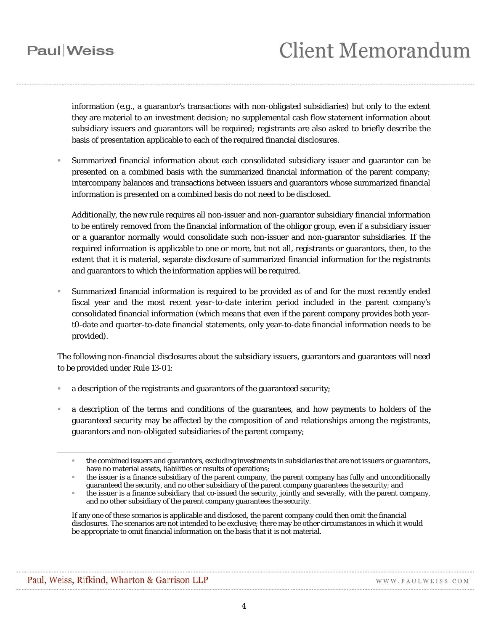information (*e.g.*, a guarantor's transactions with non-obligated subsidiaries) but only to the extent they are material to an investment decision; no supplemental cash flow statement information about subsidiary issuers and guarantors will be required; registrants are also asked to briefly describe the basis of presentation applicable to each of the required financial disclosures.

 Summarized financial information about each consolidated subsidiary issuer and guarantor can be presented on a combined basis with the summarized financial information of the parent company; intercompany balances and transactions between issuers and guarantors whose summarized financial information is presented on a combined basis do not need to be disclosed.

Additionally, the new rule requires all non-issuer and non-guarantor subsidiary financial information to be entirely removed from the financial information of the obligor group, even if a subsidiary issuer or a guarantor normally would consolidate such non-issuer and non-guarantor subsidiaries. If the required information is applicable to one or more, but not all, registrants or guarantors, then, to the extent that it is material, separate disclosure of summarized financial information for the registrants and guarantors to which the information applies will be required.

 Summarized financial information is required to be provided as of and for the most recently ended fiscal year and the most recent *year-to-date* interim period included in the parent company's consolidated financial information (which means that even if the parent company provides both yeart0-date and quarter-to-date financial statements, only year-to-date financial information needs to be provided).

The following non-financial disclosures about the subsidiary issuers, guarantors and guarantees will need to be provided under Rule 13-01:

- a description of the registrants and guarantors of the guaranteed security;
- a description of the terms and conditions of the guarantees, and how payments to holders of the guaranteed security may be affected by the composition of and relationships among the registrants, guarantors and non-obligated subsidiaries of the parent company;

 $\overline{a}$ 

the combined issuers and guarantors, excluding investments in subsidiaries that are not issuers or guarantors, have no material assets, liabilities or results of operations;

the issuer is a finance subsidiary of the parent company, the parent company has fully and unconditionally guaranteed the security, and no other subsidiary of the parent company guarantees the security; and

the issuer is a finance subsidiary that co-issued the security, jointly and severally, with the parent company, and no other subsidiary of the parent company guarantees the security.

If any one of these scenarios is applicable and disclosed, the parent company could then omit the financial disclosures. The scenarios are not intended to be exclusive; there may be other circumstances in which it would be appropriate to omit financial information on the basis that it is not material.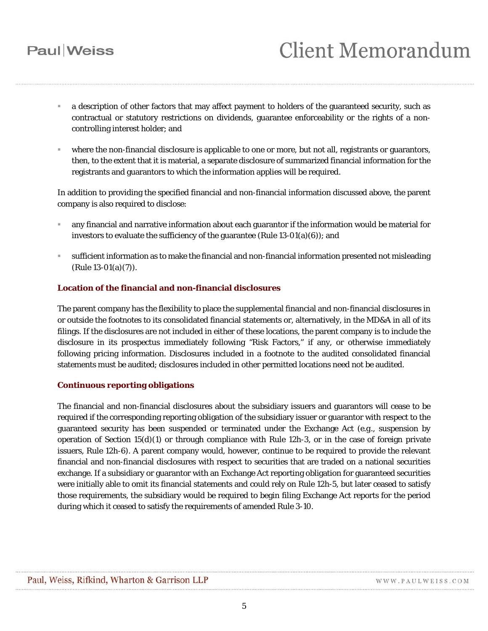# **Client Memorandum**

- a description of other factors that may affect payment to holders of the guaranteed security, such as contractual or statutory restrictions on dividends, guarantee enforceability or the rights of a noncontrolling interest holder; and
- where the non-financial disclosure is applicable to one or more, but not all, registrants or guarantors, then, to the extent that it is material, a separate disclosure of summarized financial information for the registrants and guarantors to which the information applies will be required.

In addition to providing the specified financial and non-financial information discussed above, the parent company is also required to disclose:

- any financial and narrative information about each guarantor if the information would be material for investors to evaluate the sufficiency of the guarantee (Rule 13-01(a)(6)); and
- sufficient information as to make the financial and non-financial information presented not misleading (Rule 13-01(a)(7)).

### **Location of the financial and non-financial disclosures**

The parent company has the flexibility to place the supplemental financial and non-financial disclosures in or outside the footnotes to its consolidated financial statements or, alternatively, in the MD&A in all of its filings. If the disclosures are not included in either of these locations, the parent company is to include the disclosure in its prospectus immediately following "Risk Factors," if any, or otherwise immediately following pricing information. Disclosures included in a footnote to the audited consolidated financial statements must be audited; disclosures included in other permitted locations need not be audited.

### **Continuous reporting obligations**

The financial and non-financial disclosures about the subsidiary issuers and guarantors will cease to be required if the corresponding reporting obligation of the subsidiary issuer or guarantor with respect to the guaranteed security has been suspended or terminated under the Exchange Act (*e.g.*, suspension by operation of Section  $15(d)(1)$  or through compliance with Rule 12h-3, or in the case of foreign private issuers, Rule 12h-6). A parent company would, however, continue to be required to provide the relevant financial and non-financial disclosures with respect to securities that are traded on a national securities exchange. If a subsidiary or guarantor with an Exchange Act reporting obligation for guaranteed securities were initially able to omit its financial statements and could rely on Rule 12h-5, but later ceased to satisfy those requirements, the subsidiary would be required to begin filing Exchange Act reports for the period during which it ceased to satisfy the requirements of amended Rule 3-10.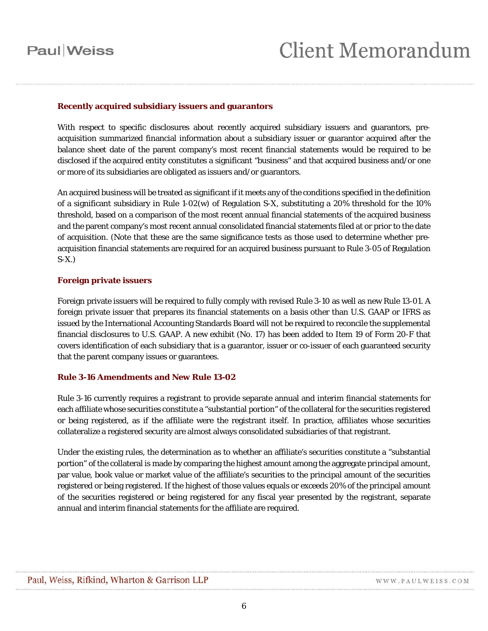#### **Recently acquired subsidiary issuers and guarantors**

With respect to specific disclosures about recently acquired subsidiary issuers and guarantors, preacquisition summarized financial information about a subsidiary issuer or guarantor acquired after the balance sheet date of the parent company's most recent financial statements would be required to be disclosed if the acquired entity constitutes a significant "business" and that acquired business and/or one or more of its subsidiaries are obligated as issuers and/or guarantors.

An acquired business will be treated as significant if it meets any of the conditions specified in the definition of a significant subsidiary in Rule 1-02(w) of Regulation S-X, substituting a 20% threshold for the 10% threshold, based on a comparison of the most recent annual financial statements of the acquired business and the parent company's most recent annual consolidated financial statements filed at or prior to the date of acquisition. (Note that these are the same significance tests as those used to determine whether preacquisition financial statements are required for an acquired business pursuant to Rule 3-05 of Regulation S-X.)

#### **Foreign private issuers**

Foreign private issuers will be required to fully comply with revised Rule 3-10 as well as new Rule 13-01. A foreign private issuer that prepares its financial statements on a basis other than U.S. GAAP or IFRS as issued by the International Accounting Standards Board will not be required to reconcile the supplemental financial disclosures to U.S. GAAP. A new exhibit (No. 17) has been added to Item 19 of Form 20-F that covers identification of each subsidiary that is a guarantor, issuer or co-issuer of each guaranteed security that the parent company issues or guarantees.

### **Rule 3-16 Amendments and New Rule 13-02**

Rule 3-16 currently requires a registrant to provide separate annual and interim financial statements for each affiliate whose securities constitute a "substantial portion" of the collateral for the securities registered or being registered, as if the affiliate were the registrant itself. In practice, affiliates whose securities collateralize a registered security are almost always consolidated subsidiaries of that registrant.

Under the existing rules, the determination as to whether an affiliate's securities constitute a "substantial portion" of the collateral is made by comparing the highest amount among the aggregate principal amount, par value, book value or market value of the affiliate's securities to the principal amount of the securities registered or being registered. If the highest of those values equals or exceeds 20% of the principal amount of the securities registered or being registered for any fiscal year presented by the registrant, separate annual and interim financial statements for the affiliate are required.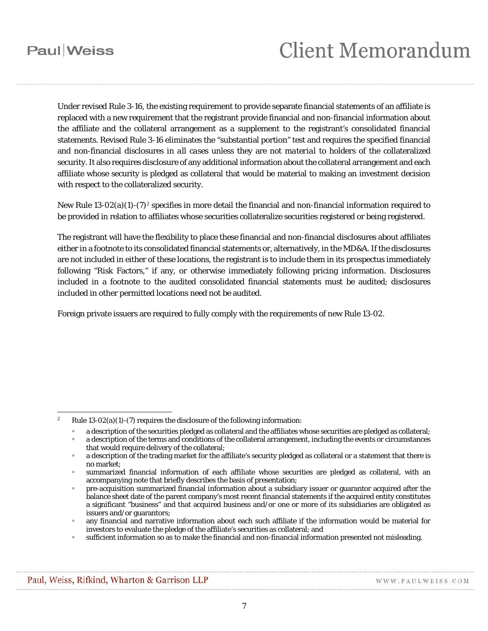$\overline{a}$ 

# **Client Memorandum**

Under revised Rule 3-16, the existing requirement to provide separate financial statements of an affiliate is replaced with a new requirement that the registrant provide financial and non-financial information about the affiliate and the collateral arrangement as a supplement to the registrant's consolidated financial statements. Revised Rule 3-16 eliminates the "substantial portion" test and requires the specified financial and non-financial disclosures *in all cases* unless they are *not material* to holders of the collateralized security. It also requires disclosure of any additional information about the collateral arrangement and each affiliate whose security is pledged as collateral that would be material to making an investment decision with respect to the collateralized security.

New Rule 13-0[2](#page-6-0)(a)(1)-(7)<sup>2</sup> specifies in more detail the financial and non-financial information required to be provided in relation to affiliates whose securities collateralize securities registered or being registered.

The registrant will have the flexibility to place these financial and non-financial disclosures about affiliates either in a footnote to its consolidated financial statements or, alternatively, in the MD&A. If the disclosures are not included in either of these locations, the registrant is to include them in its prospectus immediately following "Risk Factors," if any, or otherwise immediately following pricing information. Disclosures included in a footnote to the audited consolidated financial statements must be audited; disclosures included in other permitted locations need not be audited.

Foreign private issuers are required to fully comply with the requirements of new Rule 13-02.

- a description of the securities pledged as collateral and the affiliates whose securities are pledged as collateral;
- a description of the terms and conditions of the collateral arrangement, including the events or circumstances that would require delivery of the collateral;

WWW.PAULWEISS.COM

<span id="page-6-0"></span><sup>&</sup>lt;sup>2</sup> Rule 13-02(a)(1)-(7) requires the disclosure of the following information:

a description of the trading market for the affiliate's security pledged as collateral or a statement that there is no market;

summarized financial information of each affiliate whose securities are pledged as collateral, with an accompanying note that briefly describes the basis of presentation;

pre-acquisition summarized financial information about a subsidiary issuer or guarantor acquired after the balance sheet date of the parent company's most recent financial statements if the acquired entity constitutes a significant "business" and that acquired business and/or one or more of its subsidiaries are obligated as issuers and/or guarantors;

any financial and narrative information about each such affiliate if the information would be material for investors to evaluate the pledge of the affiliate's securities as collateral; and

sufficient information so as to make the financial and non-financial information presented not misleading.